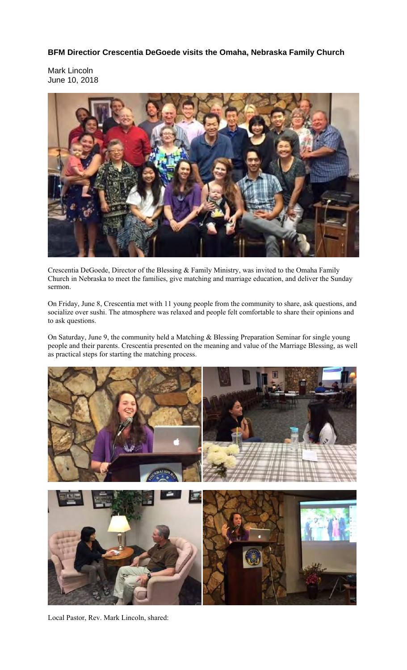**BFM Directior Crescentia DeGoede visits the Omaha, Nebraska Family Church** 

Mark Lincoln June 10, 2018



Crescentia DeGoede, Director of the Blessing & Family Ministry, was invited to the Omaha Family Church in Nebraska to meet the families, give matching and marriage education, and deliver the Sunday sermon.

On Friday, June 8, Crescentia met with 11 young people from the community to share, ask questions, and socialize over sushi. The atmosphere was relaxed and people felt comfortable to share their opinions and to ask questions.

On Saturday, June 9, the community held a Matching & Blessing Preparation Seminar for single young people and their parents. Crescentia presented on the meaning and value of the Marriage Blessing, as well as practical steps for starting the matching process.



Local Pastor, Rev. Mark Lincoln, shared: